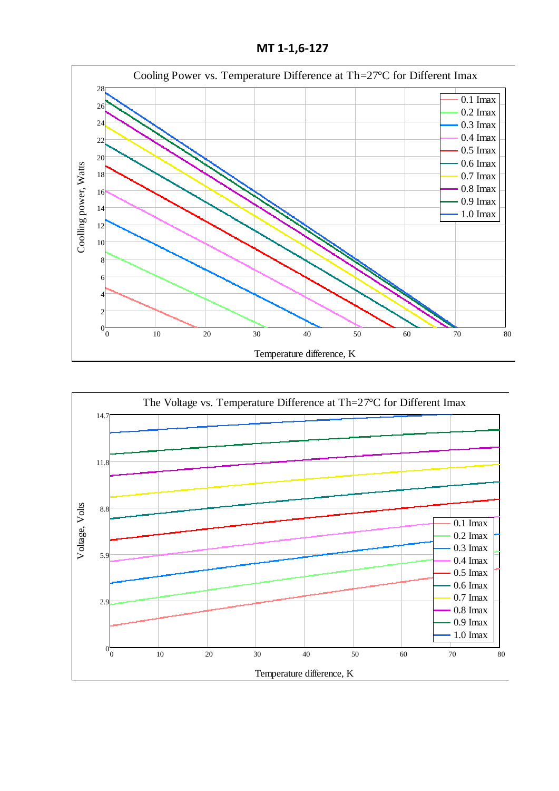**МТ 1-1,6-127**